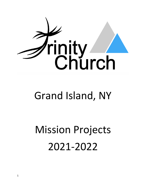

## Grand Island, NY

# Mission Projects 2021-2022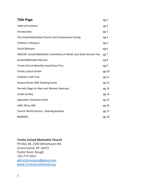| <b>Title Page</b>                                                   | pg 1  |
|---------------------------------------------------------------------|-------|
| <b>Table of Contents</b>                                            | pg 2  |
| Introduction                                                        | pg 3  |
| The United Methodist Church and Connectional Giving                 | pg 4  |
| <b>Children's Missions</b>                                          | pg 5  |
| <b>Youth Missions</b>                                               | pg 6  |
| UMCOR: United Methodist Committee on Relief, and Adult Service Trip | pg 7  |
| United Methodist Women                                              | pg 8  |
| Trinity Church Monthly Food Drive-Thru                              | pg 9  |
| <b>Family Justice Center</b>                                        | pg 10 |
| Children's Gift Tree                                                | pg 11 |
| Seneca Street UMC Reading Camp                                      | pg 12 |
| Patriotic Bags for Men and Women Veterans                           | pg 13 |
| <b>Undie Sunday</b>                                                 | pg 14 |
| <b>Operation Christmas Child</b>                                    | pg 15 |
| UMC Africa 360                                                      | pg 16 |
| Church World Service: Cleaning Buckets                              | pg 17 |
| <b>NOMADS</b>                                                       | pg 18 |

## **Trinity United Methodist Church**

PO Box 38, 2100 Whitehaven Rd Grand Island, NY 14072 Pastor Kevin Slough 716-773-3322 gitrinitymissions@gmail.com www.TrinityGrandIsland.org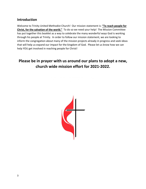## **Introduction**

Welcome to Trinity United Methodist Church! Our mission statement is: **"To reach people for Christ, for the salvation of the world."** To do so we need your help! The Mission Committee has put together this booklet as a way to celebrate the many wonderful ways God is working through his people at Trinity. In order to follow our mission statement, we are looking to inform the congregation about many of the mission projects already in progress and seek ideas that will help us expand our impact for the kingdom of God. Please let us know how we can help YOU get involved in reaching people for Christ!

## **Please be in prayer with us around our plans to adopt a new, church wide mission effort for 2021-2022.**

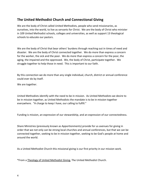## **The United Methodist Church and Connectional Giving**

We are the body of Christ called United Methodists, people who send missionaries, as ourselves, into the world, to live as servants for Christ. We are the body of Christ who minister in 109 United Methodist schools, colleges and universities, as well as support 13 theological schools to educate our pastors.

We are the body of Christ that bear others' burdens through reaching out in times of need and disaster. We are the body of Christ connected together. We do more than express a concern for the worker, the sick and the poor. We do more than express a concern for the poor, the aging, the impaired and the oppressed. We, the body of Christ, participate together. We struggle together to help those in need. This is important to our faith.

By this connection we do more than any single individual, church, district or annual conference could ever do by itself.

We are together.

United Methodists identify with the need to be in mission. As United Methodists we desire to be in mission together, as United Methodists the mandate is to be in mission together everywhere. "A charge to keep I have, our calling to fulfill."

Funding is mission, an expression of our stewardship, and an expression of our connectedness.

Share Ministries (previously known as Apportionments) provide for us avenues for giving in order that we not only can be strong local churches and annual conferences, but that we can be connected together, seeking to be in mission together, seeking to be God's people at home and around the world.

As a United Methodist Church this missional giving is our first priority in our mission work.

\*From a Theology of United Methodist Giving, The United Methodist Church.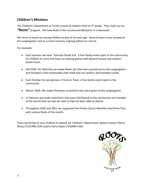## **Children's Missions**

The Children's department at Trinity consist of children birth to  $5<sup>th</sup>$  grade. They make up our **"Roots"** program. We have Buds in the nursery and Blossoms in a classroom.

We strive to teach our young children to give at an early age. Several times a year we give to the congregation and to current missions ongoing within our church.

For example:

- Each Summer we have "Summer Break Out" a free family event open to the community for children to come and have fun playing games with bounce houses and outdoor praise music.
- Fall 2020- For Rally Day we made flower jars that were passed out to the congregation and included a free homemade cloth mask that our quilters and members made.
- Each October for we sponsor a Trunk or Treat- a free family event open to the community.
- Winter 2020- We made Christmas ornaments that were given to the congregation.
- In February we made Valentine's that were distributed to the community and member of the church that we had not seen or had not been able to attend.
- Throughout 2020 and 2021 we supported the Trinity Church Monthly Food Drive-Thru with various foods of the month.

If you would like to your children to attend our Children's department, please contact Cherie Sharp (716) 998-2194 and/or Keira Hayes (716)940-2165.

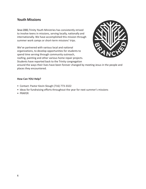## **Youth Missions**

Since 2000, Trinity Youth Ministries has consistently strived to involve teens in missions, serving locally, nationally and internationally. We have accomplished this mission through summer work camps or short-term missions' trips.

We've partnered with various local and national organizations, to develop opportunities for students to spend time serving through community outreach, roofing, painting and other various home repair projects. Students have reported back to the Trinity congregation



around the ways their lives have been forever changed by meeting Jesus in the people and places they encountered.

- Contact: Pastor Kevin Slough (716) 773-3322
- Ideas for fundraising efforts throughout the year for next summer's missions
- PRAYER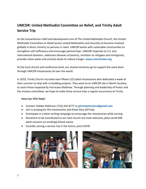## **UMCOR: United Methodist Committee on Relief, and Trinity Adult Service Trip**

As the humanitarian relief and development arm of The United Methodist Church, the United Methodist Committee on Relief assists United Methodists and churches to become involved globally in direct ministry to persons in need. UMCOR works with vulnerable communities to strengthen self-sufficiency and encourage partnerships. UMCOR responds to U.S. and international disasters, addresses diseases of poverty, ministers to refugees and immigrants, provides clean water and actively works to reduce hunger. **www.umcmission.org**

At the local church and conference level, our shared ministries go to support the work done through UMCOR missionaries all over the world.

In 2019, Trinity Church recruited over fifteen (15) adult missionaries who dedicated a week of their summer to help with re-building projects. They went to an UMCOR site in North Carolina, to assist those impacted by Hurricane Matthew. Through planning and leadership of Pastor and the mission committee, we hope to make these service trips a regular occurrence at Trinity.

- Contact: Debbie Robinson (716) 245-8777 or **gitrinitymissions@gmail.com**
- Join in praying for the missionaries and those they will help
- Participate in a letter writing campaign to encourage the missionaries while serving
- Donations to be contributed to our host church are most welcome, place acct# 949 adult missions on envelope/check memo
- Consider joining a service trip in the future, post COVID



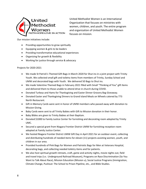

United Methodist Women is an International Organization that focuses on ministries with women, children, and youth. The entire program and organization of United Methodist Women focuses on mission.

Our mission initiatives include:

- Providing opportunities to grow spiritually
- Equipping women & girls to be leaders
- Providing transformative educational experiences
- Organizing for growth & flexibility
- Working for justice through service & advocacy

#### Projects for 2020-2021

- We made St Patrick's Themed Gift Bags in March 2020 for Shut ins in a joint project with Trinity Youth. We collected small gift and toiletry items from members of Trinity, Sunday School and UMW and decorated bags with Youth. We delivered 50 Bags to Shut ins.
- We made Valentine Themed Bags in February 2021 filled with Small "Thinking of You" gift Items and delivered them to those unable to attend drive in church during COVID.
- Donated Turkeys and Hams for Thanksgiving and Easter Dinner Grocery Bag Giveaway.
- Donated Easter and Thanksgiving Dinners to Grand Island Meals on Wheels catered by 773 North Restaurant.
- Gift in Memory Cards were sent in honor of UMW members who passed away with donation to Mission Giving.
- Baby Cards were sent to all Trinity Babies with Gift to Mission donation in their honor.
- Baby Bibles are given to Trinity Babies at their Baptism.
- Donated \$1000 to Family Justice Center for furnishing and decorating room adopted by Trinity UMC.
- Secured a special grant from Niagara Frontier District UMW for furnishing reception room adopted at Family Justice Center.
- We hosted Niagara Frontier District UMW Gift Day in April 2021 for an outdoor event, collecting and distributing hundreds of needed items for eleven (11) projects assisting women, youth, and children in our area.
- Provided hundreds of Pink Bags for Women and Patriotic Bags for Men at Veterans Hospital, decorating bags, and collecting needed toiletry items and for patients.
- We also host spiritual growth retreats, craft, game and activity nights, movie nights out, field and travel trips (i.e.: Underground Railroad Museum), Programs on Race Discrimination (So You Want to Talk About Race), Mission Education (Mission u), Social Justice Programs (Immigration, Climate Change, Pushout: The School to Prison Pipeline, etc., and Bible Studies.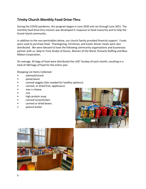## **Trinity Church Monthly Food Drive-Thru**

During the COVID pandemic, this program began in June 2020 and ran through June 2021. The monthly food drive-thru mission was developed in response to food insecurity and to help the Grand Island community.

In addition to the non-perishables below, our church family provided financial support. Funds were used to purchase food. Thanksgiving, Christmas, and Easter dinner meals were also distributed. We were blessed to have the following community organizations and businesses partner with us: Step-In-Time Studio of Dance, Women of the Word, Pinnacle Staffing and Blue Ribbon Corporation.

On average, 45 bags of food were distributed the LAST Sunday of each month, resulting in a total of 540 bags of food for the entire year.

Shopping List Items Collected:

- oatmeal/cereal
- pasta/sauce
- canned veggies (lots needed for healthy options!)
- canned, or dried fruit, applesauce
- mac n cheese
- rice
- high protein soup
- canned tuna/chicken
- canned or dried beans
- peanut butter



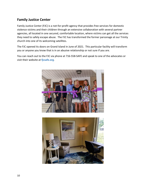## **Family Justice Center**

Family Justice Center (FJC) is a not-for-profit agency that provides free services for domestic violence victims and their children through an extensive collaboration with several partner agencies, all located in one secured, comfortable location, where victims can get all the services they need to safely escape abuse. The FJC has transformed the former parsonage at our Trinity church into one of its welcoming satellites.

The FJC opened its doors on Grand Island in June of 2021. This particular facility will transform you or anyone you know that is in an abusive relationship or not sure if you are.

You can reach out to the FJC via phone at 716-558-SAFE and speak to one of the advocates or visit their website at **fjcsafe.org**.



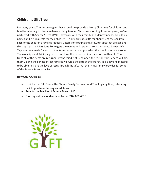## **Children's Gift Tree**

For many years, Trinity congregants have sought to provide a Merry Christmas for children and families who might otherwise have nothing to open Christmas morning. In recent years, we've partnered with Seneca Street UMC. They work with their families to identify needs, provide us names and gift requests for their children. Trinity provides gifts for about 17 of the children. Each of the children's families requests 3 items of clothing and 3 toy/fun gifts that are age and size appropriate. Mary Jane Fonte gets the names and requests from the Seneca Street UMC. Tags are then made for each of the items requested and placed on the tree in the family room. The worshipers at Trinity sign up to purchase the requested items and return them to Trinity. Once all of the items are returned, by the middle of December, the Pastor from Seneca will pick them up and the Seneca Street families will wrap the gifts at the church. It is a joy and blessing to be able to share the love of Jesus through the gifts that the Trinity family provides for some of the Seneca Street families.

- Look for our Gift Tree in the Church Family Room around Thanksgiving time, take a tag or 2 to purchase the requested items.
- Pray for the families of Seneca Street UMC
- Direct questions to Mary Jane Fonte (716) 880-4615

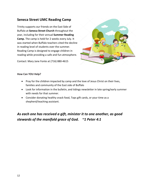## **Seneca Street UMC Reading Camp**

Trinity supports our friends on the East Side of Buffalo at **Seneca Street Church** throughout the year, including for their annual **Summer Reading Camp.** The camp is held for 2 weeks every July. It was started when Buffalo teachers cited the decline in reading level of students over the summer. Reading Camp is designed to engage children in reading while providing a safe and fun atmosphere.

Contact: Mary Jane Fonte at (716) 880-4615



#### **How Can YOU Help?**

- Pray for the children impacted by camp and the love of Jesus Christ on their lives, families and community of the East side of Buffalo
- Look for information in the bulletin, and tidings newsletter in late spring/early summer with needs for that summer.
- Consider donating healthy snack food, Tops gift cards, or your time as a shepherd/teaching assistant.

*As each one has received a gift, minister it to one another, as good stewards of the manifold grace of God. ~1 Peter 4:1*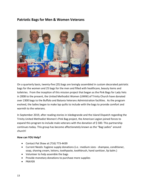## **Patriotic Bags for Men & Women Veterans**



On a quarterly basis, twenty-five (25) bags are lovingly assembled in custom decorated patriotic bags for the women and 25 bags for the men and filled with healthcare, beauty items and toiletries. From the inception of this mission project that began as the Pink Bags for Lady Vets in 2008 to the present, the United Methodist Women (UMW) of Trinity Church have donated over 2300 bags to the Buffalo and Batavia Veterans Administration facilities. As the program evolved, the ladies began to make lap quilts to include with the bags to provide comfort and warmth to the veterans.

In September 2019, after reading stories in Isledegrande and the Island Dispatch regarding the Trinity United Methodist Women's Pink Bag project, the American Legion joined forces to expand this program to include male veterans with the donation of \$ 500. This partnership continues today. This group has become affectionately known as the "Bag Ladies" around church!

- Contact Pat Shaw at (716) 773-4439
- Current Needs: hygiene supply donations (i.e.: medium sizes shampoo, conditioner, soap, shaving cream, lotions, toothpaste, toothbrush, hand sanitizer, lip balm.)
- Volunteer to help assemble the bags
- Provide monetary donations to purchase more supplies
- PRAYER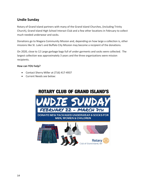## **Undie Sunday**

Rotary of Grand Island partners with many of the Grand Island Churches, (including Trinity Church), Grand Island High School Interact Club and a few other locations in February to collect much needed underwear and socks.

Donations go to Niagara Community Mission and, depending on how large a collection is, other missions like St. Luke's and Buffalo City Mission may become a recipient of the donations.

On 2020, close to 12 Large garbage bags full of under garments and socks were collected. The largest collection was approximately 3 years and the three organizations were mission recipients.

#### **How can YOU help?**

- Contact Sherry Miller at (716) 417-4937
- Current Needs see below:

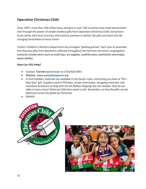## **Operation Christmas Child**

Since 1993, more than 100 million boys and girls in over 130 countries have experienced God's love through the power of simple shoebox gifts from Operation Christmas Child. Samaritan's Purse works with local churches and ministry partners to deliver the gifts and share the lifechanging Good News of Jesus Christ.

Trinity's Children's Ministry Department has arranged "packing parties" each year to assemble the shoe box gifts from donations collected throughout the fall from the entire congregation. Contents include items such as small toys, art supplies, toothbrushes, washcloths and empty water bottles.

- Contact: Michelle Swartzmeyer at (716) 828-5095
- Website: **www.samaritanspurse.org**
- In mid-October, materials are available in the family room, instructing you how to "fill a shoe box" gift. Supplies used to fill boxes, empty shoe boxes, wrapping materials, and monetary donations to help with the \$9.00/box shipping rate are needed. Stop by our table to learn more! National Collection week is mid- November, so that the gifts can be delivered across the globe by Christmas.
- PRAYER



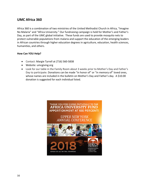## **UMC Africa 360**

Africa 360 is a combination of two ministries of the United Methodist Church in Africa, "Imagine No Malaria" and "Africa University." Our fundraising campaign is held for Mother's and Father's Day, as part of the UMC global initiative. These funds are used to provide mosquito nets to protect vulnerable populations from malaria and support the education of the emerging leaders in African countries through higher education degrees in agriculture, education, health sciences, humanities, and others.

- Contact: Margie Tyrrell at (716) 560-5838
- Website: umcgiving.org
- Look for our table in the Family Room about 3 weeks prior to Mother's Day and Father's Day to participate. Donations can be made "in honor of" or "in memory of" loved ones, whose names are included in the bulletin on Mother's Day and Father's day. A \$10.00 donation is suggested for each individual listed.

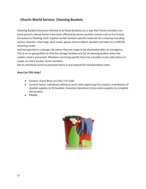## **Church World Service: Cleaning Buckets**

Cleaning Buckets (formerly referred to as Flood Buckets) are a way that Trinity members can assist persons whose homes have been affected by severe weather events such as hurricanes, tornadoes or flooding. Each 5-gallon bucket contains specific materials for a cleanup including various cleaners, trash bags, dust masks, gloves and scrubbers. Buckets are taken to a UMCOR receiving center

and transported to a storage site where they are ready to be distributed after an emergency. This is an on-going effort so that the storage facilities are full of cleaning buckets when the sudden need is presented. Members can bring specific items for a bucket or join with others to create an entire bucket. Some members

like to contribute funds to purchase items or put toward the transportation costs.

- Contact: Diane Blum at (716) 775-5160
- Current needs: individuals willing to assist with organizing this project; contribution of needed supplies to fill buckets; monetary donations to buy extra supplies to complete the buckets.
- PRAYER